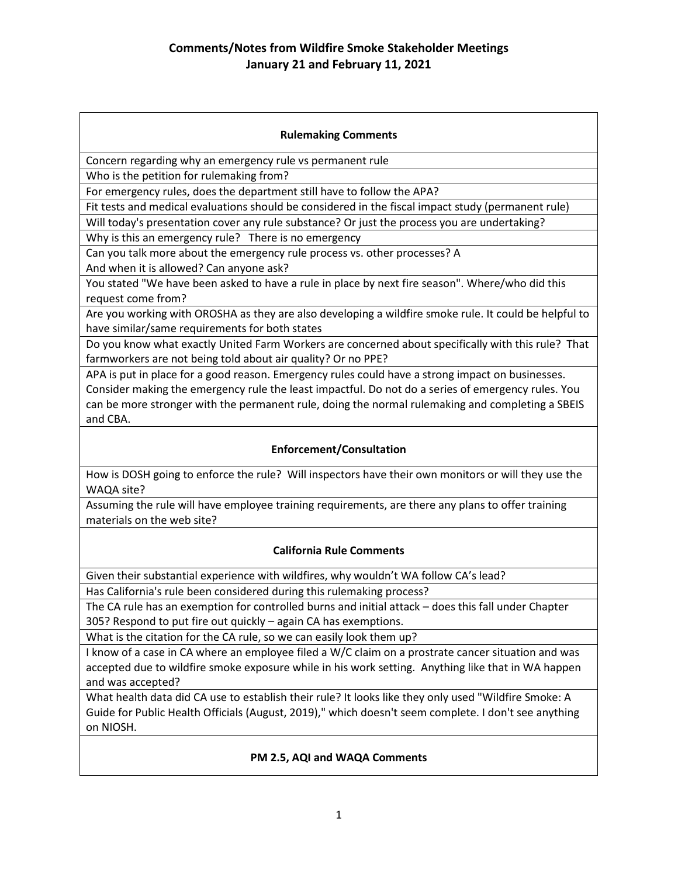#### **Rulemaking Comments**

Concern regarding why an emergency rule vs permanent rule

Who is the petition for rulemaking from?

For emergency rules, does the department still have to follow the APA?

Fit tests and medical evaluations should be considered in the fiscal impact study (permanent rule)

Will today's presentation cover any rule substance? Or just the process you are undertaking?

Why is this an emergency rule? There is no emergency

Can you talk more about the emergency rule process vs. other processes? A And when it is allowed? Can anyone ask?

You stated "We have been asked to have a rule in place by next fire season". Where/who did this request come from?

Are you working with OROSHA as they are also developing a wildfire smoke rule. It could be helpful to have similar/same requirements for both states

Do you know what exactly United Farm Workers are concerned about specifically with this rule? That farmworkers are not being told about air quality? Or no PPE?

APA is put in place for a good reason. Emergency rules could have a strong impact on businesses. Consider making the emergency rule the least impactful. Do not do a series of emergency rules. You can be more stronger with the permanent rule, doing the normal rulemaking and completing a SBEIS and CBA.

## **Enforcement/Consultation**

How is DOSH going to enforce the rule? Will inspectors have their own monitors or will they use the WAQA site?

Assuming the rule will have employee training requirements, are there any plans to offer training materials on the web site?

#### **California Rule Comments**

Given their substantial experience with wildfires, why wouldn't WA follow CA's lead?

Has California's rule been considered during this rulemaking process?

The CA rule has an exemption for controlled burns and initial attack – does this fall under Chapter 305? Respond to put fire out quickly – again CA has exemptions.

What is the citation for the CA rule, so we can easily look them up?

I know of a case in CA where an employee filed a W/C claim on a prostrate cancer situation and was accepted due to wildfire smoke exposure while in his work setting. Anything like that in WA happen and was accepted?

What health data did CA use to establish their rule? It looks like they only used "Wildfire Smoke: A Guide for Public Health Officials (August, 2019)," which doesn't seem complete. I don't see anything on NIOSH.

## **PM 2.5, AQI and WAQA Comments**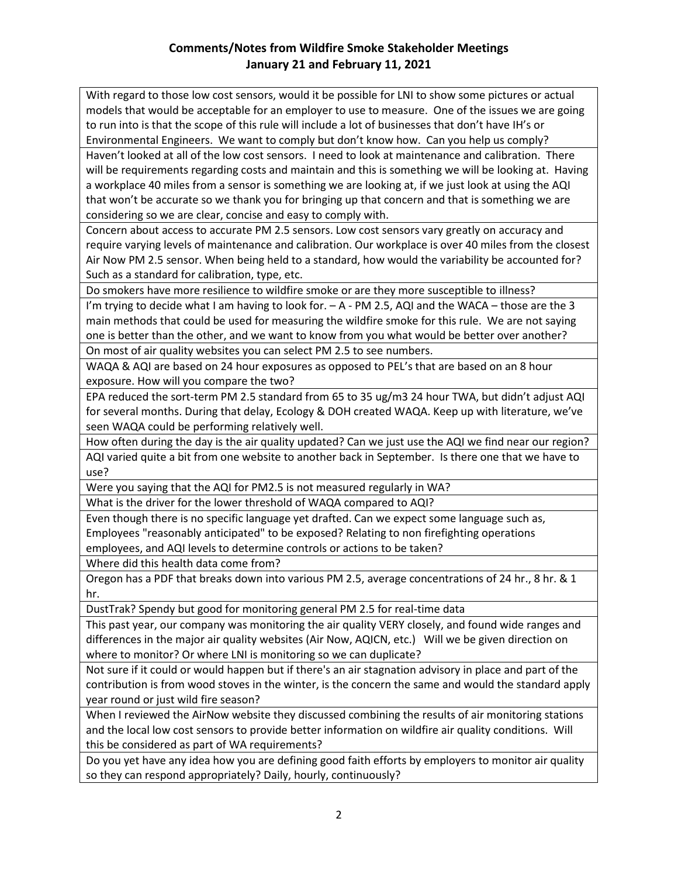# **Comments/Notes from Wildfire Smoke Stakeholder Meetings January 21 and February 11, 2021**

With regard to those low cost sensors, would it be possible for LNI to show some pictures or actual models that would be acceptable for an employer to use to measure. One of the issues we are going to run into is that the scope of this rule will include a lot of businesses that don't have IH's or Environmental Engineers. We want to comply but don't know how. Can you help us comply?

Haven't looked at all of the low cost sensors. I need to look at maintenance and calibration. There will be requirements regarding costs and maintain and this is something we will be looking at. Having a workplace 40 miles from a sensor is something we are looking at, if we just look at using the AQI that won't be accurate so we thank you for bringing up that concern and that is something we are considering so we are clear, concise and easy to comply with.

Concern about access to accurate PM 2.5 sensors. Low cost sensors vary greatly on accuracy and require varying levels of maintenance and calibration. Our workplace is over 40 miles from the closest Air Now PM 2.5 sensor. When being held to a standard, how would the variability be accounted for? Such as a standard for calibration, type, etc.

Do smokers have more resilience to wildfire smoke or are they more susceptible to illness?

I'm trying to decide what I am having to look for. – A - PM 2.5, AQI and the WACA – those are the 3 main methods that could be used for measuring the wildfire smoke for this rule. We are not saying one is better than the other, and we want to know from you what would be better over another? On most of air quality websites you can select PM 2.5 to see numbers.

WAQA & AQI are based on 24 hour exposures as opposed to PEL's that are based on an 8 hour exposure. How will you compare the two?

EPA reduced the sort-term PM 2.5 standard from 65 to 35 ug/m3 24 hour TWA, but didn't adjust AQI for several months. During that delay, Ecology & DOH created WAQA. Keep up with literature, we've seen WAQA could be performing relatively well.

How often during the day is the air quality updated? Can we just use the AQI we find near our region? AQI varied quite a bit from one website to another back in September. Is there one that we have to use?

Were you saying that the AQI for PM2.5 is not measured regularly in WA?

What is the driver for the lower threshold of WAQA compared to AQI?

Even though there is no specific language yet drafted. Can we expect some language such as, Employees "reasonably anticipated" to be exposed? Relating to non firefighting operations employees, and AQI levels to determine controls or actions to be taken?

Where did this health data come from?

Oregon has a PDF that breaks down into various PM 2.5, average concentrations of 24 hr., 8 hr. & 1 hr.

DustTrak? Spendy but good for monitoring general PM 2.5 for real-time data

This past year, our company was monitoring the air quality VERY closely, and found wide ranges and differences in the major air quality websites (Air Now, AQICN, etc.) Will we be given direction on where to monitor? Or where LNI is monitoring so we can duplicate?

Not sure if it could or would happen but if there's an air stagnation advisory in place and part of the contribution is from wood stoves in the winter, is the concern the same and would the standard apply year round or just wild fire season?

When I reviewed the AirNow website they discussed combining the results of air monitoring stations and the local low cost sensors to provide better information on wildfire air quality conditions. Will this be considered as part of WA requirements?

Do you yet have any idea how you are defining good faith efforts by employers to monitor air quality so they can respond appropriately? Daily, hourly, continuously?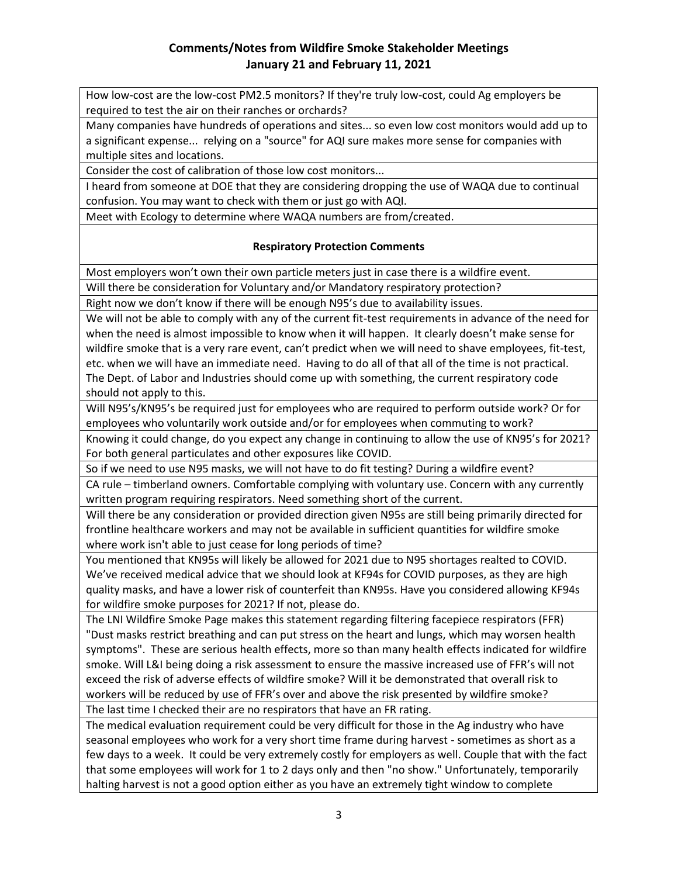How low-cost are the low-cost PM2.5 monitors? If they're truly low-cost, could Ag employers be required to test the air on their ranches or orchards?

Many companies have hundreds of operations and sites... so even low cost monitors would add up to a significant expense... relying on a "source" for AQI sure makes more sense for companies with multiple sites and locations.

Consider the cost of calibration of those low cost monitors...

I heard from someone at DOE that they are considering dropping the use of WAQA due to continual confusion. You may want to check with them or just go with AQI.

Meet with Ecology to determine where WAQA numbers are from/created.

## **Respiratory Protection Comments**

Most employers won't own their own particle meters just in case there is a wildfire event.

Will there be consideration for Voluntary and/or Mandatory respiratory protection?

Right now we don't know if there will be enough N95's due to availability issues.

We will not be able to comply with any of the current fit-test requirements in advance of the need for when the need is almost impossible to know when it will happen. It clearly doesn't make sense for wildfire smoke that is a very rare event, can't predict when we will need to shave employees, fit-test, etc. when we will have an immediate need. Having to do all of that all of the time is not practical. The Dept. of Labor and Industries should come up with something, the current respiratory code should not apply to this.

Will N95's/KN95's be required just for employees who are required to perform outside work? Or for employees who voluntarily work outside and/or for employees when commuting to work?

Knowing it could change, do you expect any change in continuing to allow the use of KN95's for 2021? For both general particulates and other exposures like COVID.

So if we need to use N95 masks, we will not have to do fit testing? During a wildfire event?

CA rule – timberland owners. Comfortable complying with voluntary use. Concern with any currently written program requiring respirators. Need something short of the current.

Will there be any consideration or provided direction given N95s are still being primarily directed for frontline healthcare workers and may not be available in sufficient quantities for wildfire smoke where work isn't able to just cease for long periods of time?

You mentioned that KN95s will likely be allowed for 2021 due to N95 shortages realted to COVID. We've received medical advice that we should look at KF94s for COVID purposes, as they are high quality masks, and have a lower risk of counterfeit than KN95s. Have you considered allowing KF94s for wildfire smoke purposes for 2021? If not, please do.

The LNI Wildfire Smoke Page makes this statement regarding filtering facepiece respirators (FFR) "Dust masks restrict breathing and can put stress on the heart and lungs, which may worsen health symptoms". These are serious health effects, more so than many health effects indicated for wildfire smoke. Will L&I being doing a risk assessment to ensure the massive increased use of FFR's will not exceed the risk of adverse effects of wildfire smoke? Will it be demonstrated that overall risk to workers will be reduced by use of FFR's over and above the risk presented by wildfire smoke?

The last time I checked their are no respirators that have an FR rating.

The medical evaluation requirement could be very difficult for those in the Ag industry who have seasonal employees who work for a very short time frame during harvest - sometimes as short as a few days to a week. It could be very extremely costly for employers as well. Couple that with the fact that some employees will work for 1 to 2 days only and then "no show." Unfortunately, temporarily halting harvest is not a good option either as you have an extremely tight window to complete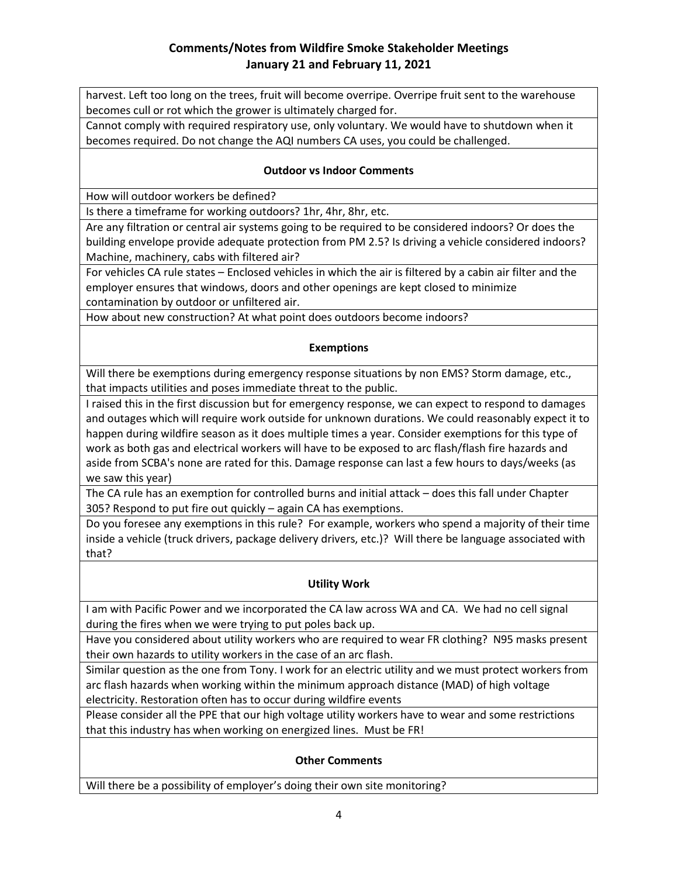# **Comments/Notes from Wildfire Smoke Stakeholder Meetings January 21 and February 11, 2021**

harvest. Left too long on the trees, fruit will become overripe. Overripe fruit sent to the warehouse becomes cull or rot which the grower is ultimately charged for.

Cannot comply with required respiratory use, only voluntary. We would have to shutdown when it becomes required. Do not change the AQI numbers CA uses, you could be challenged.

### **Outdoor vs Indoor Comments**

How will outdoor workers be defined?

Is there a timeframe for working outdoors? 1hr, 4hr, 8hr, etc.

Are any filtration or central air systems going to be required to be considered indoors? Or does the building envelope provide adequate protection from PM 2.5? Is driving a vehicle considered indoors? Machine, machinery, cabs with filtered air?

For vehicles CA rule states – Enclosed vehicles in which the air is filtered by a cabin air filter and the employer ensures that windows, doors and other openings are kept closed to minimize contamination by outdoor or unfiltered air.

How about new construction? At what point does outdoors become indoors?

### **Exemptions**

Will there be exemptions during emergency response situations by non EMS? Storm damage, etc., that impacts utilities and poses immediate threat to the public.

I raised this in the first discussion but for emergency response, we can expect to respond to damages and outages which will require work outside for unknown durations. We could reasonably expect it to happen during wildfire season as it does multiple times a year. Consider exemptions for this type of work as both gas and electrical workers will have to be exposed to arc flash/flash fire hazards and aside from SCBA's none are rated for this. Damage response can last a few hours to days/weeks (as we saw this year)

The CA rule has an exemption for controlled burns and initial attack – does this fall under Chapter 305? Respond to put fire out quickly – again CA has exemptions.

Do you foresee any exemptions in this rule? For example, workers who spend a majority of their time inside a vehicle (truck drivers, package delivery drivers, etc.)? Will there be language associated with that?

## **Utility Work**

I am with Pacific Power and we incorporated the CA law across WA and CA. We had no cell signal during the fires when we were trying to put poles back up.

Have you considered about utility workers who are required to wear FR clothing? N95 masks present their own hazards to utility workers in the case of an arc flash.

Similar question as the one from Tony. I work for an electric utility and we must protect workers from arc flash hazards when working within the minimum approach distance (MAD) of high voltage electricity. Restoration often has to occur during wildfire events

Please consider all the PPE that our high voltage utility workers have to wear and some restrictions that this industry has when working on energized lines. Must be FR!

#### **Other Comments**

Will there be a possibility of employer's doing their own site monitoring?